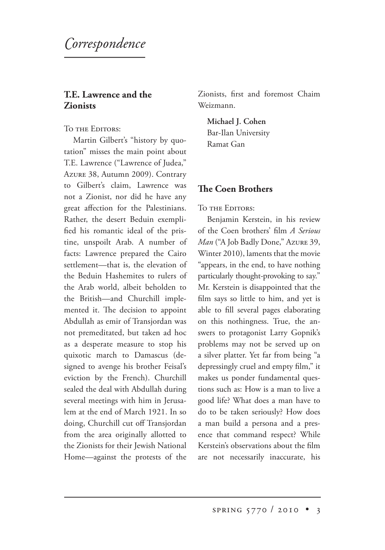*orrespondence*

## **T.E. Lawrence and the Zionists**

TO THE EDITORS:

Martin Gilbert's "history by quotation" misses the main point about T.E. Lawrence ("Lawrence of Judea," AzURE 38, Autumn 2009). Contrary to Gilbert's claim, Lawrence was not a Zionist, nor did he have any great affection for the Palestinians. Rather, the desert Beduin exemplified his romantic ideal of the pristine, unspoilt Arab. A number of facts: Lawrence prepared the Cairo settlement—that is, the elevation of the Beduin Hashemites to rulers of the Arab world, albeit beholden to the British—and Churchill implemented it. The decision to appoint Abdullah as emir of Transjordan was not premeditated, but taken ad hoc as a desperate measure to stop his quixotic march to Damascus (designed to avenge his brother Feisal's eviction by the French). Churchill sealed the deal with Abdullah during several meetings with him in Jerusalem at the end of March 1921. In so doing, Churchill cut off Transjordan from the area originally allotted to the Zionists for their Jewish National Home—against the protests of the Zionists, first and foremost Chaim Weizmann.

**Michael J. Cohen** 

Bar-Ilan University Ramat Gan

## **The Coen Brothers**

TO THE EDITORS:

Benjamin Kerstein, in his review of the Coen brothers' film *A Serious Man* ("A Job Badly Done," Azure 39, Winter 2010), laments that the movie "appears, in the end, to have nothing particularly thought-provoking to say." Mr. Kerstein is disappointed that the film says so little to him, and yet is able to fill several pages elaborating on this nothingness. True, the answers to protagonist Larry Gopnik's problems may not be served up on a silver platter. Yet far from being "a depressingly cruel and empty film," it makes us ponder fundamental questions such as: How is a man to live a good life? What does a man have to do to be taken seriously? How does a man build a persona and a presence that command respect? While Kerstein's observations about the film are not necessarily inaccurate, his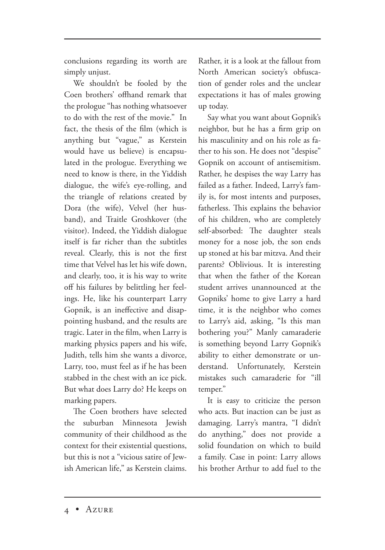conclusions regarding its worth are simply unjust.

We shouldn't be fooled by the Coen brothers' offhand remark that the prologue "has nothing whatsoever to do with the rest of the movie." In fact, the thesis of the film (which is anything but "vague," as Kerstein would have us believe) is encapsulated in the prologue. Everything we need to know is there, in the Yiddish dialogue, the wife's eye-rolling, and the triangle of relations created by Dora (the wife), Velvel (her husband), and Traitle Groshkover (the visitor). Indeed, the Yiddish dialogue itself is far richer than the subtitles reveal. Clearly, this is not the first time that Velvel has let his wife down, and clearly, too, it is his way to write off his failures by belittling her feelings. He, like his counterpart Larry Gopnik, is an ineffective and disappointing husband, and the results are tragic. Later in the film, when Larry is marking physics papers and his wife, Judith, tells him she wants a divorce, Larry, too, must feel as if he has been stabbed in the chest with an ice pick. But what does Larry do? He keeps on marking papers.

The Coen brothers have selected the suburban Minnesota Jewish community of their childhood as the context for their existential questions, but this is not a "vicious satire of Jewish American life," as Kerstein claims. Rather, it is a look at the fallout from North American society's obfuscation of gender roles and the unclear expectations it has of males growing up today.

Say what you want about Gopnik's neighbor, but he has a firm grip on his masculinity and on his role as father to his son. He does not "despise" Gopnik on account of antisemitism. Rather, he despises the way Larry has failed as a father. Indeed, Larry's family is, for most intents and purposes, fatherless. This explains the behavior of his children, who are completely self-absorbed: The daughter steals money for a nose job, the son ends up stoned at his bar mitzva. And their parents? Oblivious. It is interesting that when the father of the Korean student arrives unannounced at the Gopniks' home to give Larry a hard time, it is the neighbor who comes to Larry's aid, asking, "Is this man bothering you?" Manly camaraderie is something beyond Larry Gopnik's ability to either demonstrate or understand. Unfortunately, Kerstein mistakes such camaraderie for "ill temper."

It is easy to criticize the person who acts. But inaction can be just as damaging. Larry's mantra, "I didn't do anything," does not provide a solid foundation on which to build a family. Case in point: Larry allows his brother Arthur to add fuel to the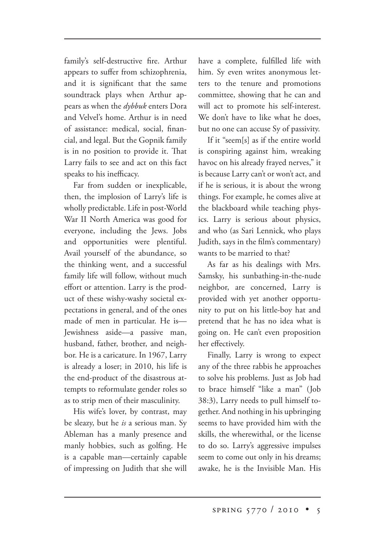family's self-destructive fire. Arthur appears to suffer from schizophrenia, and it is significant that the same soundtrack plays when Arthur appears as when the *dybbuk* enters Dora and Velvel's home. Arthur is in need of assistance: medical, social, financial, and legal. But the Gopnik family is in no position to provide it. That Larry fails to see and act on this fact speaks to his inefficacy.

Far from sudden or inexplicable, then, the implosion of Larry's life is wholly predictable. Life in post-World War II North America was good for everyone, including the Jews. Jobs and opportunities were plentiful. Avail yourself of the abundance, so the thinking went, and a successful family life will follow, without much effort or attention. Larry is the product of these wishy-washy societal expectations in general, and of the ones made of men in particular. He is— Jewishness aside—a passive man, husband, father, brother, and neighbor. He is a caricature. In 1967, Larry is already a loser; in 2010, his life is the end-product of the disastrous attempts to reformulate gender roles so as to strip men of their masculinity.

His wife's lover, by contrast, may be sleazy, but he *is* a serious man. Sy Ableman has a manly presence and manly hobbies, such as golfing. He is a capable man—certainly capable of impressing on Judith that she will have a complete, fulfilled life with him. Sy even writes anonymous letters to the tenure and promotions committee, showing that he can and will act to promote his self-interest. We don't have to like what he does, but no one can accuse Sy of passivity.

If it "seem[s] as if the entire world is conspiring against him, wreaking havoc on his already frayed nerves," it is because Larry can't or won't act, and if he is serious, it is about the wrong things. For example, he comes alive at the blackboard while teaching physics. Larry is serious about physics, and who (as Sari Lennick, who plays Judith, says in the film's commentary) wants to be married to that?

As far as his dealings with Mrs. Samsky, his sunbathing-in-the-nude neighbor, are concerned, Larry is provided with yet another opportunity to put on his little-boy hat and pretend that he has no idea what is going on. He can't even proposition her effectively.

Finally, Larry is wrong to expect any of the three rabbis he approaches to solve his problems. Just as Job had to brace himself "like a man" (Job 38:3), Larry needs to pull himself together. And nothing in his upbringing seems to have provided him with the skills, the wherewithal, or the license to do so. Larry's aggressive impulses seem to come out only in his dreams; awake, he is the Invisible Man. His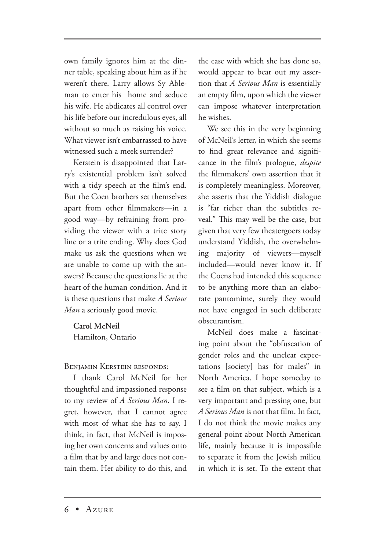own family ignores him at the dinner table, speaking about him as if he weren't there. Larry allows Sy Ableman to enter his home and seduce his wife. He abdicates all control over his life before our incredulous eyes, all without so much as raising his voice. What viewer isn't embarrassed to have witnessed such a meek surrender?

Kerstein is disappointed that Larry's existential problem isn't solved with a tidy speech at the film's end. But the Coen brothers set themselves apart from other filmmakers—in a good way—by refraining from providing the viewer with a trite story line or a trite ending. Why does God make us ask the questions when we are unable to come up with the answers? Because the questions lie at the heart of the human condition. And it is these questions that make *A Serious Man* a seriously good movie.

**Carol McNeil** Hamilton, Ontario

**BENIAMIN KERSTEIN RESPONDS:** 

I thank Carol McNeil for her thoughtful and impassioned response to my review of *A Serious Man*. I regret, however, that I cannot agree with most of what she has to say. I think, in fact, that McNeil is imposing her own concerns and values onto a film that by and large does not contain them. Her ability to do this, and the ease with which she has done so, would appear to bear out my assertion that *A Serious Man* is essentially an empty film, upon which the viewer can impose whatever interpretation he wishes.

We see this in the very beginning of McNeil's letter, in which she seems to find great relevance and significance in the film's prologue, *despite* the filmmakers' own assertion that it is completely meaningless. Moreover, she asserts that the Yiddish dialogue is "far richer than the subtitles reveal." This may well be the case, but given that very few theatergoers today understand Yiddish, the overwhelming majority of viewers—myself included—would never know it. If the Coens had intended this sequence to be anything more than an elaborate pantomime, surely they would not have engaged in such deliberate obscurantism.

McNeil does make a fascinating point about the "obfuscation of gender roles and the unclear expectations [society] has for males" in North America. I hope someday to see a film on that subject, which is a very important and pressing one, but *A Serious Man* is not that film. In fact, I do not think the movie makes any general point about North American life, mainly because it is impossible to separate it from the Jewish milieu in which it is set. To the extent that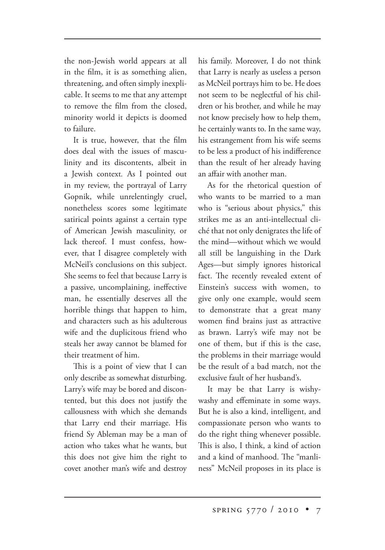the non-Jewish world appears at all in the film, it is as something alien, threatening, and often simply inexplicable. It seems to me that any attempt to remove the film from the closed, minority world it depicts is doomed to failure.

It is true, however, that the film does deal with the issues of masculinity and its discontents, albeit in a Jewish context*.* As I pointed out in my review, the portrayal of Larry Gopnik, while unrelentingly cruel, nonetheless scores some legitimate satirical points against a certain type of American Jewish masculinity, or lack thereof. I must confess, however, that I disagree completely with McNeil's conclusions on this subject. She seems to feel that because Larry is a passive, uncomplaining, ineffective man, he essentially deserves all the horrible things that happen to him, and characters such as his adulterous wife and the duplicitous friend who steals her away cannot be blamed for their treatment of him.

This is a point of view that I can only describe as somewhat disturbing. Larry's wife may be bored and discontented, but this does not justify the callousness with which she demands that Larry end their marriage. His friend Sy Ableman may be a man of action who takes what he wants, but this does not give him the right to covet another man's wife and destroy his family. Moreover, I do not think that Larry is nearly as useless a person as McNeil portrays him to be. He does not seem to be neglectful of his children or his brother, and while he may not know precisely how to help them, he certainly wants to. In the same way, his estrangement from his wife seems to be less a product of his indifference than the result of her already having an affair with another man.

As for the rhetorical question of who wants to be married to a man who is "serious about physics," this strikes me as an anti-intellectual cliché that not only denigrates the life of the mind—without which we would all still be languishing in the Dark Ages—but simply ignores historical fact. The recently revealed extent of Einstein's success with women, to give only one example, would seem to demonstrate that a great many women find brains just as attractive as brawn. Larry's wife may not be one of them, but if this is the case, the problems in their marriage would be the result of a bad match, not the exclusive fault of her husband's.

It may be that Larry is wishywashy and effeminate in some ways. But he is also a kind, intelligent, and compassionate person who wants to do the right thing whenever possible. This is also, I think, a kind of action and a kind of manhood. The "manliness" McNeil proposes in its place is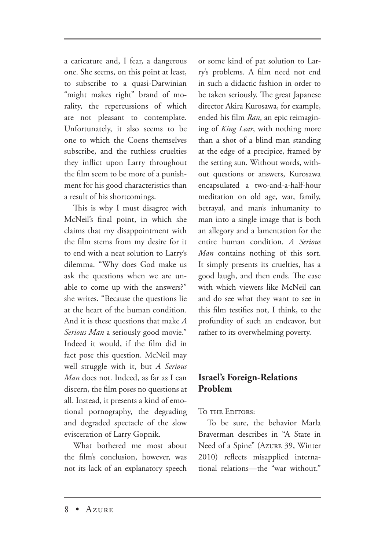a caricature and, I fear, a dangerous one. She seems, on this point at least, to subscribe to a quasi-Darwinian "might makes right" brand of morality, the repercussions of which are not pleasant to contemplate. Unfortunately, it also seems to be one to which the Coens themselves subscribe, and the ruthless cruelties they inflict upon Larry throughout the film seem to be more of a punishment for his good characteristics than a result of his shortcomings.

This is why I must disagree with McNeil's final point, in which she claims that my disappointment with the film stems from my desire for it to end with a neat solution to Larry's dilemma. "Why does God make us ask the questions when we are unable to come up with the answers?" she writes. "Because the questions lie at the heart of the human condition. And it is these questions that make *A Serious Man* a seriously good movie." Indeed it would, if the film did in fact pose this question. McNeil may well struggle with it, but *A Serious Man* does not. Indeed, as far as I can discern, the film poses no questions at all. Instead, it presents a kind of emotional pornography, the degrading and degraded spectacle of the slow evisceration of Larry Gopnik.

What bothered me most about the film's conclusion, however, was not its lack of an explanatory speech or some kind of pat solution to Larry's problems. A film need not end in such a didactic fashion in order to be taken seriously. The great Japanese director Akira Kurosawa, for example, ended his film *Ran*, an epic reimagining of *King Lear*, with nothing more than a shot of a blind man standing at the edge of a precipice, framed by the setting sun. Without words, without questions or answers, Kurosawa encapsulated a two-and-a-half-hour meditation on old age, war, family, betrayal, and man's inhumanity to man into a single image that is both an allegory and a lamentation for the entire human condition. *A Serious Man* contains nothing of this sort. It simply presents its cruelties, has a good laugh, and then ends. The ease with which viewers like McNeil can and do see what they want to see in this film testifies not, I think, to the profundity of such an endeavor, but rather to its overwhelming poverty.

## **Israel's Foreign-Relations Problem**

TO THE EDITORS:

To be sure, the behavior Marla Braverman describes in "A State in Need of a Spine" (Azure 39, Winter 2010) reflects misapplied international relations—the "war without."